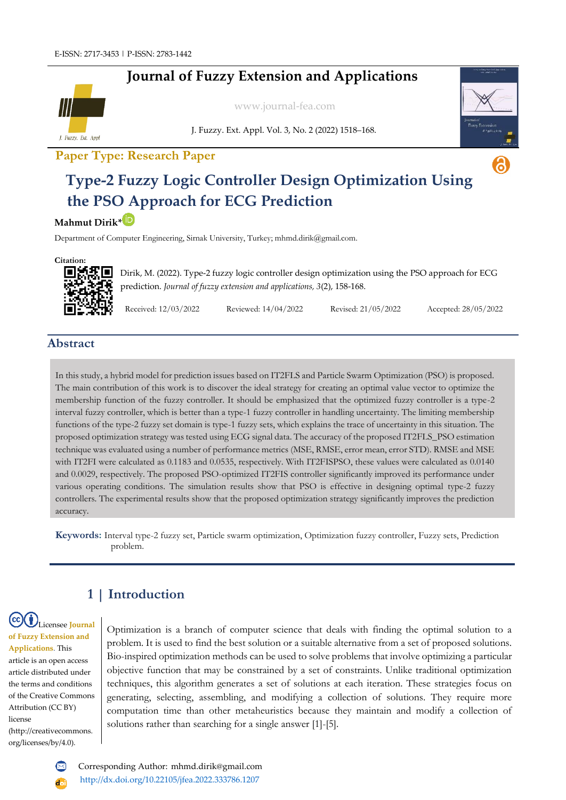## **Journal of Fuzzy Extension and Applications**



[www.journal-fea.com](http://www.journal-fea.com/)

J. Fuzzy. Ext. Appl. Vol. 3, No. 2 (2022) 1518–168.



6

### **Paper Type: Research Paper**

# **Type-2 Fuzzy Logic Controller Design Optimization Using the PSO Approach for ECG Prediction**

#### **Mahmut Dirik\***

Department of Computer Engineering, Sirnak University, Turkey[; mhmd.dirik@gmail.com.](mailto:mhmd.dirik@gmail.com)

**Citation:**



Dirik, M. (2022). Type-2 fuzzy logic controller design optimization using the PSO approach for ECG prediction. *Journal of fuzzy extension and applications, 3*(2), 158-168.

Received: 12/03/2022 Reviewed: 14/04/2022 Revised: 21/05/2022 Accepted: 28/05/2022

#### **Abstract**

In this study, a hybrid model for prediction issues based on IT2FLS and Particle Swarm Optimization (PSO) is proposed. The main contribution of this work is to discover the ideal strategy for creating an optimal value vector to optimize the membership function of the fuzzy controller. It should be emphasized that the optimized fuzzy controller is a type-2 interval fuzzy controller, which is better than a type-1 fuzzy controller in handling uncertainty. The limiting membership functions of the type-2 fuzzy set domain is type-1 fuzzy sets, which explains the trace of uncertainty in this situation. The proposed optimization strategy was tested using ECG signal data. The accuracy of the proposed IT2FLS\_PSO estimation technique was evaluated using a number of performance metrics (MSE, RMSE, error mean, error STD). RMSE and MSE with IT2FI were calculated as 0.1183 and 0.0535, respectively. With IT2FISPSO, these values were calculated as 0.0140 and 0.0029, respectively. The proposed PSO-optimized IT2FIS controller significantly improved its performance under various operating conditions. The simulation results show that PSO is effective in designing optimal type-2 fuzzy controllers. The experimental results show that the proposed optimization strategy significantly improves the prediction accuracy.

**Keywords:** Interval type-2 fuzzy set, Particle swarm optimization, Optimization fuzzy controller, Fuzzy sets, Prediction problem.

# **1 | Introduction**

Licensee **Journal of Fuzzy Extension and Applications**. This article is an open access article distributed under the terms and conditions of the Creative Commons Attribution (CC BY) license (http://creativecommons. org/licenses/by/4.0).

Optimization is a branch of computer science that deals with finding the optimal solution to a problem. It is used to find the best solution or a suitable alternative from a set of proposed solutions. Bio-inspired optimization methods can be used to solve problems that involve optimizing a particular objective function that may be constrained by a set of constraints. Unlike traditional optimization techniques, this algorithm generates a set of solutions at each iteration. These strategies focus on generating, selecting, assembling, and modifying a collection of solutions. They require more computation time than other metaheuristics because they maintain and modify a collection of solutions rather than searching for a single answer [1]-[5].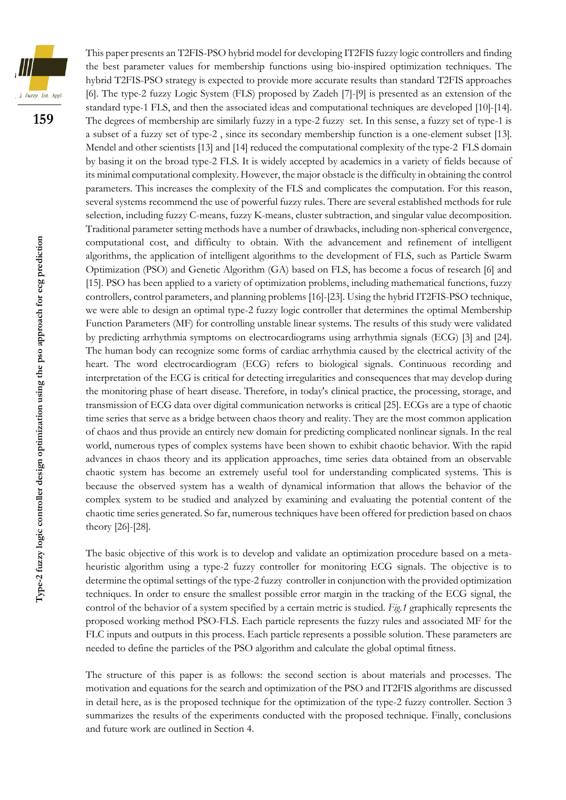

**159**

This paper presents an T2FIS-PSO hybrid model for developing IT2FIS fuzzy logic controllers and finding the best parameter values for membership functions using bio-inspired optimization techniques. The hybrid T2FIS-PSO strategy is expected to provide more accurate results than standard T2FIS approaches [6]. The type-2 fuzzy Logic System (FLS) proposed by Zadeh [7]-[9] is presented as an extension of the standard type-1 FLS, and then the associated ideas and computational techniques are developed [10]-[14]. The degrees of membership are similarly fuzzy in a type-2 fuzzy set. In this sense, a fuzzy set of type-1 is a subset of a fuzzy set of type-2 , since its secondary membership function is a one-element subset [13]. Mendel and other scientists [13] and [14] reduced the computational complexity of the type-2 FLS domain by basing it on the broad type-2 FLS. It is widely accepted by academics in a variety of fields because of its minimal computational complexity. However, the major obstacle is the difficulty in obtaining the control parameters. This increases the complexity of the FLS and complicates the computation. For this reason, several systems recommend the use of powerful fuzzy rules. There are several established methods for rule selection, including fuzzy C-means, fuzzy K-means, cluster subtraction, and singular value decomposition. Traditional parameter setting methods have a number of drawbacks, including non-spherical convergence, computational cost, and difficulty to obtain. With the advancement and refinement of intelligent algorithms, the application of intelligent algorithms to the development of FLS, such as Particle Swarm Optimization (PSO) and Genetic Algorithm (GA) based on FLS, has become a focus of research [6] and [15]. PSO has been applied to a variety of optimization problems, including mathematical functions, fuzzy controllers, control parameters, and planning problems [16]-[23]. Using the hybrid IT2FIS-PSO technique, we were able to design an optimal type-2 fuzzy logic controller that determines the optimal Membership Function Parameters (MF) for controlling unstable linear systems. The results of this study were validated by predicting arrhythmia symptoms on electrocardiograms using arrhythmia signals (ECG) [3] and [24]. The human body can recognize some forms of cardiac arrhythmia caused by the electrical activity of the heart. The word electrocardiogram (ECG) refers to biological signals. Continuous recording and interpretation of the ECG is critical for detecting irregularities and consequences that may develop during the monitoring phase of heart disease. Therefore, in today's clinical practice, the processing, storage, and transmission of ECG data over digital communication networks is critical [25]. ECGs are a type of chaotic time series that serve as a bridge between chaos theory and reality. They are the most common application of chaos and thus provide an entirely new domain for predicting complicated nonlinear signals. In the real world, numerous types of complex systems have been shown to exhibit chaotic behavior. With the rapid advances in chaos theory and its application approaches, time series data obtained from an observable chaotic system has become an extremely useful tool for understanding complicated systems. This is because the observed system has a wealth of dynamical information that allows the behavior of the complex system to be studied and analyzed by examining and evaluating the potential content of the chaotic time series generated. So far, numerous techniques have been offered for prediction based on chaos theory [26]-[28].

The basic objective of this work is to develop and validate an optimization procedure based on a metaheuristic algorithm using a type-2 fuzzy controller for monitoring ECG signals. The objective is to determine the optimal settings of the type-2 fuzzy controller in conjunction with the provided optimization techniques. In order to ensure the smallest possible error margin in the tracking of the ECG signal, the control of the behavior of a system specified by a certain metric is studied. *Fig.1* graphically represents the proposed working method PSO-FLS. Each particle represents the fuzzy rules and associated MF for the FLC inputs and outputs in this process. Each particle represents a possible solution. These parameters are needed to define the particles of the PSO algorithm and calculate the global optimal fitness.

The structure of this paper is as follows: the second section is about materials and processes. The motivation and equations for the search and optimization of the PSO and IT2FIS algorithms are discussed in detail here, as is the proposed technique for the optimization of the type-2 fuzzy controller. Section 3 summarizes the results of the experiments conducted with the proposed technique. Finally, conclusions and future work are outlined in Section 4.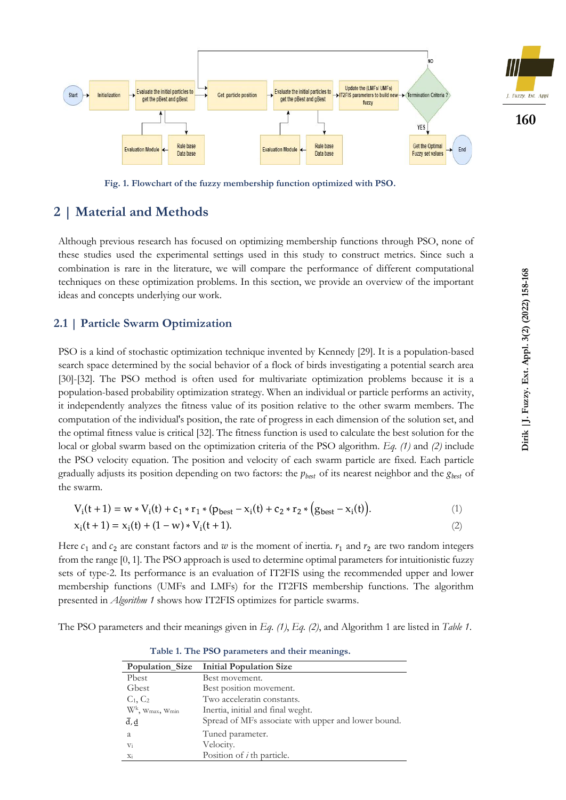

**Fig. 1. Flowchart of the fuzzy membership function optimized with PSO.**

#### **2 | Material and Methods**

Although previous research has focused on optimizing membership functions through PSO, none of these studies used the experimental settings used in this study to construct metrics. Since such a combination is rare in the literature, we will compare the performance of different computational techniques on these optimization problems. In this section, we provide an overview of the important ideas and concepts underlying our work.

#### **2.1 | Particle Swarm Optimization**

PSO is a kind of stochastic optimization technique invented by Kennedy [29]. It is a population-based search space determined by the social behavior of a flock of birds investigating a potential search area [30]-[32]. The PSO method is often used for multivariate optimization problems because it is a population-based probability optimization strategy. When an individual or particle performs an activity, it independently analyzes the fitness value of its position relative to the other swarm members. The computation of the individual's position, the rate of progress in each dimension of the solution set, and the optimal fitness value is critical [32]. The fitness function is used to calculate the best solution for the local or global swarm based on the optimization criteria of the PSO algorithm. *Eq. (1)* and *(2)* include the PSO velocity equation. The position and velocity of each swarm particle are fixed. Each particle gradually adjusts its position depending on two factors: the  $p_{best}$  of its nearest neighbor and the  $g_{best}$  of the swarm.

$$
V_i(t+1) = w * V_i(t) + c_1 * r_1 * (p_{best} - x_i(t) + c_2 * r_2 * (g_{best} - x_i(t)).
$$
\n(1)

$$
x_i(t+1) = x_i(t) + (1 - w) * V_i(t+1).
$$
 (2)

Here  $c_1$  and  $c_2$  are constant factors and  $w$  is the moment of inertia.  $r_1$  and  $r_2$  are two random integers from the range [0, 1]. The PSO approach is used to determine optimal parameters for intuitionistic fuzzy sets of type-2. Its performance is an evaluation of IT2FIS using the recommended upper and lower membership functions (UMFs and LMFs) for the IT2FIS membership functions. The algorithm presented in *Algorithm 1* shows how IT2FIS optimizes for particle swarms.

The PSO parameters and their meanings given in *Eq. (1)*, *Eq. (2)*, and Algorithm 1 are listed in *Table 1*.

| <b>Population Size</b>                      | <b>Initial Population Size</b>                      |
|---------------------------------------------|-----------------------------------------------------|
| Pbest                                       | Best movement.                                      |
| Gbest                                       | Best position movement.                             |
| $C_1, C_2$                                  | Two acceleratin constants.                          |
| $W^k$ , W <sub>max</sub> , W <sub>min</sub> | Inertia, initial and final weght.                   |
| $\overline{d}, \underline{d}$               | Spread of MFs associate with upper and lower bound. |
| a                                           | Tuned parameter.                                    |
| $V_i$                                       | Velocity.                                           |
| $X_i$                                       | Position of $i$ th particle.                        |

**Table 1. The PSO parameters and their meanings.**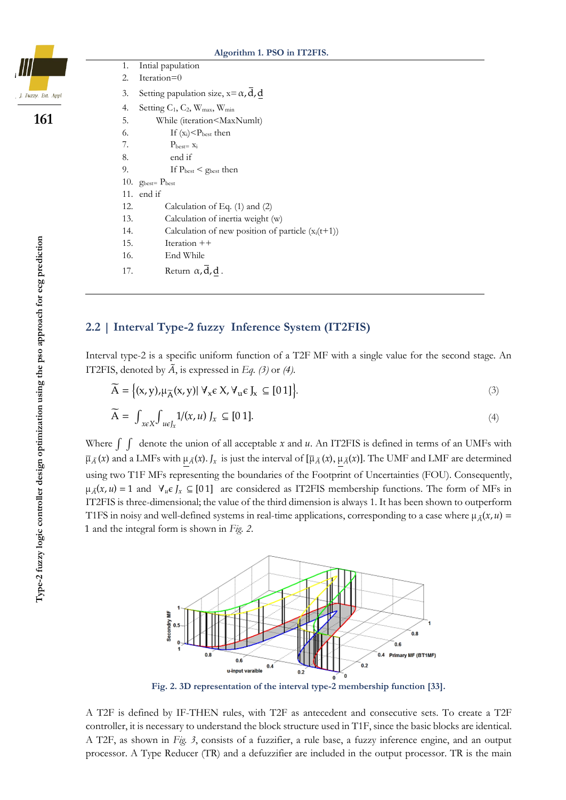**Algorithm 1. PSO in IT2FIS.** 1. Intial papulation 2. Iteration=0 3. Setting papulation size,  $x = \alpha$ , d, d 4. Setting  $C_1$ ,  $C_2$ ,  $W_{\text{max}}$ ,  $W_{\text{min}}$ 5. While (iteration<MaxNumlt) 6. If  $(x_i) < P_{best}$  then 7.  $P_{best} = x_i$ 8. end if 9. If  $P_{\text{best}} < g_{\text{best}}$  then 10.  $g_{best}$   $P_{best}$ 11. end if 12. Calculation of Eq. (1) and (2) 13. Calculation of inertia weight (w) 14. Calculation of new position of particle  $(x_i(t+1))$ 15. Iteration ++ 16. End While 17. Return  $\alpha, d, \underline{d}$ .

#### **2.2 | Interval Type-2 fuzzy Inference System (IT2FIS)**

Interval type-2 is a specific uniform function of a T2F MF with a single value for the second stage. An IT2FIS, denoted by  $\tilde{A}$ , is expressed in *Eq.* (3) or (4).

$$
\widetilde{A} = \{(x, y), \mu_{\widetilde{A}}(x, y) | \forall_x \in X, \forall_u \in J_x \subseteq [0 1]\}.
$$
\n
$$
\widetilde{A} = \int_{x \in X} \int_{u \in J_x} 1/(x, u) J_x \subseteq [0 1].
$$
\n(3)

Where  $\int \int$  denote the union of all acceptable x and u. An IT2FIS is defined in terms of an UMFs with  $\bar{\mu}_{\tilde{A}}(x)$  and a LMFs with  $\mu_{\tilde{A}}(x)$ .  $J_x$  is just the interval of  $[\bar{\mu}_{\tilde{A}}(x), \mu_{\tilde{A}}(x)]$ . The UMF and LMF are determined using two T1F MFs representing the boundaries of the Footprint of Uncertainties (FOU). Consequently,  $\mu_{\tilde{A}}(x, u) = 1$  and  $\forall_u \in J_x \subseteq [01]$  are considered as IT2FIS membership functions. The form of MFs in IT2FIS is three-dimensional; the value of the third dimension is always 1. It has been shown to outperform T1FS in noisy and well-defined systems in real-time applications, corresponding to a case where  $\mu_{\bar{A}}(x, u)$  = 1 and the integral form is shown in *Fig. 2*.

> $\overline{0.8}$  $0.6$ 0.4 Primary MF (BT1MF)  $0.6$  $0.2$  $0.4$ u-input varaible

**Fig. 2. 3D representation of the interval type-2 membership function [33].**

A T2F is defined by IF-THEN rules, with T2F as antecedent and consecutive sets. To create a T2F controller, it is necessary to understand the block structure used in T1F, since the basic blocks are identical. A T2F, as shown in *Fig. 3*, consists of a fuzzifier, a rule base, a fuzzy inference engine, and an output processor. A Type Reducer (TR) and a defuzzifier are included in the output processor. TR is the main



**161**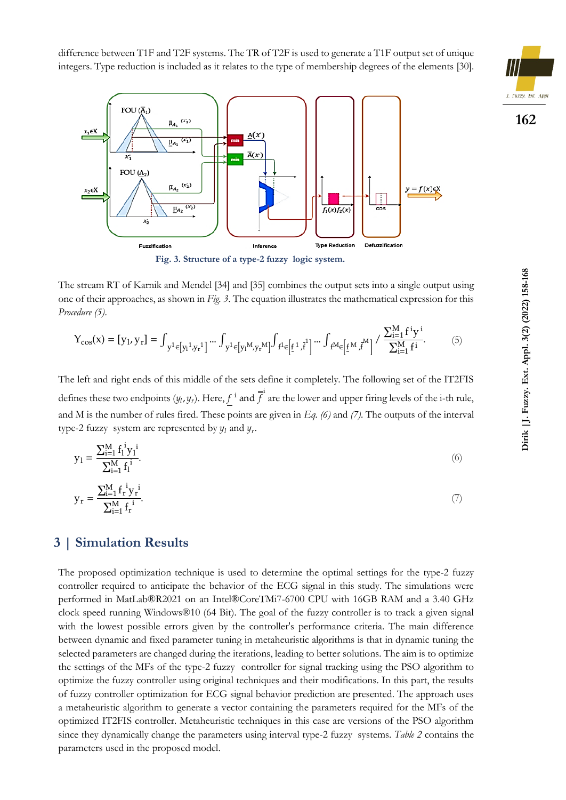difference between T1F and T2F systems. The TR of T2F is used to generate a T1F output set of unique integers. Type reduction is included as it relates to the type of membership degrees of the elements [30].





**Fig. 3. Structure of a type-2 fuzzy logic system.**

The stream RT of Karnik and Mendel [34] and [35] combines the output sets into a single output using one of their approaches, as shown in *Fig. 3*. The equation illustrates the mathematical expression for this *Procedure (5)*.

$$
\mathbf{Y}_{\cos}(\mathbf{x}) = [\mathbf{y}_{1}, \mathbf{y}_{r}] = \int_{\mathbf{y}^{1} \in [\mathbf{y}_{1}^{1}, \mathbf{y}_{r}^{1}]} \cdots \int_{\mathbf{y}^{1} \in [\mathbf{y}_{1}^{M}, \mathbf{y}_{r}^{M}]} \int_{f^{1} \in [\underline{f}^{1}, \overline{f}^{1}]} \cdots \int_{f^{M} \in [\underline{f}^{M}, \overline{f}^{M}]} / \frac{\sum_{i=1}^{M} f^{i} \mathbf{y}^{i}}{\sum_{i=1}^{M} f^{i}}.
$$
 (5)

The left and right ends of this middle of the sets define it completely. The following set of the IT2FIS defines these two endpoints  $(y_l, y_r)$ . Here,  $f^i$  and  $\overrightarrow{f}^i$  are the lower and upper firing levels of the i-th rule, and M is the number of rules fired. These points are given in *Eq. (6)* and *(7)*. The outputs of the interval type-2 fuzzy system are represented by  $y_l$  and  $y_r$ .

$$
y_1 = \frac{\sum_{i=1}^{M} f_1^i y_1^i}{\sum_{i=1}^{M} f_1^i}.
$$
\n(6)

$$
y_{r} = \frac{\sum_{i=1}^{M} f_{r}^{i} y_{r}^{i}}{\sum_{i=1}^{M} f_{r}^{i}}.
$$
 (7)

#### **3 | Simulation Results**

The proposed optimization technique is used to determine the optimal settings for the type-2 fuzzy controller required to anticipate the behavior of the ECG signal in this study. The simulations were performed in MatLab®R2021 on an Intel®CoreTMi7-6700 CPU with 16GB RAM and a 3.40 GHz clock speed running Windows®10 (64 Bit). The goal of the fuzzy controller is to track a given signal with the lowest possible errors given by the controller's performance criteria. The main difference between dynamic and fixed parameter tuning in metaheuristic algorithms is that in dynamic tuning the selected parameters are changed during the iterations, leading to better solutions. The aim is to optimize the settings of the MFs of the type-2 fuzzy controller for signal tracking using the PSO algorithm to optimize the fuzzy controller using original techniques and their modifications. In this part, the results of fuzzy controller optimization for ECG signal behavior prediction are presented. The approach uses a metaheuristic algorithm to generate a vector containing the parameters required for the MFs of the optimized IT2FIS controller. Metaheuristic techniques in this case are versions of the PSO algorithm since they dynamically change the parameters using interval type-2 fuzzy systems. *Table 2* contains the parameters used in the proposed model.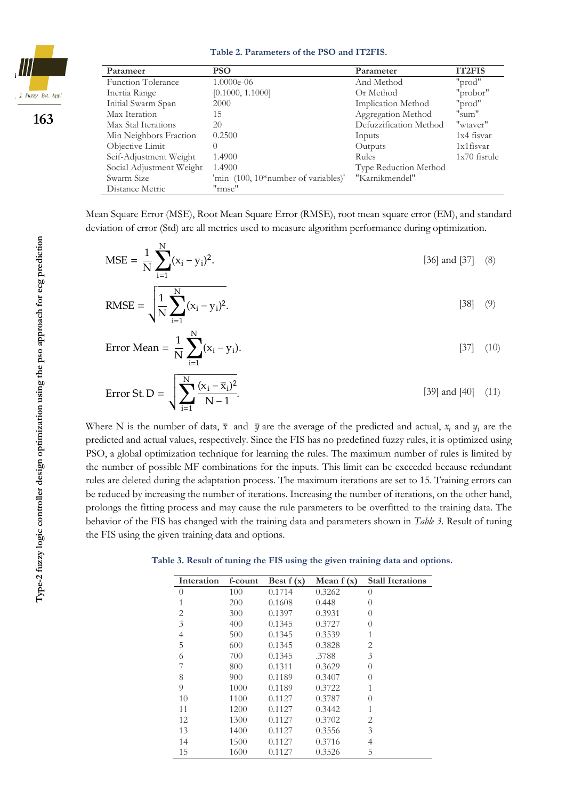

**163**

**Table 2. Parameters of the PSO and IT2FIS.**

| Parameer                  | <b>PSO</b>                          | Parameter              | <b>IT2FIS</b>  |
|---------------------------|-------------------------------------|------------------------|----------------|
| <b>Function Tolerance</b> | $1.0000e-06$                        | And Method             | "prod"         |
| Inertia Range             | [0.1000, 1.1000]                    | Or Method              | "probor"       |
| Initial Swarm Span        | 2000                                | Implication Method     | "prod"         |
| Max Iteration             | 15                                  | Aggregation Method     | "sum"          |
| Max Stal Iterations       | 20                                  | Defuzzification Method | "wtaver"       |
| Min Neighbors Fraction    | 0.2500                              | Inputs                 | 1x4 fisvar     |
| Objective Limit           |                                     | Outputs                | $1x1$ fisvar   |
| Seif-Adjustment Weight    | 1.4900                              | <b>Rules</b>           | $1x70$ fisrule |
| Social Adjustment Weight  | 1.4900                              | Type Reduction Method  |                |
| Swarm Size                | 'min (100, 10*number of variables)' | "Karnikmendel"         |                |
| Distance Metric           | "rmse"                              |                        |                |

Mean Square Error (MSE), Root Mean Square Error (RMSE), root mean square error (EM), and standard deviation of error (Std) are all metrics used to measure algorithm performance during optimization.

$$
MSE = \frac{1}{N} \sum_{i=1}^{N} (x_i - y_i)^2.
$$
 [36] and [37] (8)

RMSE = 
$$
\sqrt{\frac{1}{N} \sum_{i=1}^{N} (x_i - y_i)^2}
$$
. [38] (9)

Error Mean = 
$$
\frac{1}{N} \sum_{i=1}^{N} (x_i - y_i).
$$
 [37] (10)

Error St. D = 
$$
\sqrt{\sum_{i=1}^{N} \frac{(x_i - \overline{x}_i)^2}{N - 1}}.
$$
 [39] and [40] (11)

Where N is the number of data,  $\bar{x}$  and  $\bar{y}$  are the average of the predicted and actual,  $x_i$  and  $y_i$  are the predicted and actual values, respectively. Since the FIS has no predefined fuzzy rules, it is optimized using PSO, a global optimization technique for learning the rules. The maximum number of rules is limited by the number of possible MF combinations for the inputs. This limit can be exceeded because redundant rules are deleted during the adaptation process. The maximum iterations are set to 15. Training errors can be reduced by increasing the number of iterations. Increasing the number of iterations, on the other hand, prolongs the fitting process and may cause the rule parameters to be overfitted to the training data. The behavior of the FIS has changed with the training data and parameters shown in *Table 3*. Result of tuning the FIS using the given training data and options.

 **Table 3. Result of tuning the FIS using the given training data and options.**

| Interation       | f-count | Best $f(x)$ | Mean $f(x)$ | <b>Stall Iterations</b> |
|------------------|---------|-------------|-------------|-------------------------|
| $\left( \right)$ | 100     | 0.1714      | 0.3262      | $\left( \right)$        |
|                  | 200     | 0.1608      | 0.448       | $\left( \right)$        |
| 2                | 300     | 0.1397      | 0.3931      | $\left( \right)$        |
| 3                | 400     | 0.1345      | 0.3727      | $\left( \right)$        |
| 4                | 500     | 0.1345      | 0.3539      |                         |
| 5                | 600     | 0.1345      | 0.3828      | 2                       |
| 6                | 700     | 0.1345      | .3788       | 3                       |
|                  | 800     | 0.1311      | 0.3629      | $\left( \right)$        |
| 8                | 900     | 0.1189      | 0.3407      | $\left( \right)$        |
| 9                | 1000    | 0.1189      | 0.3722      |                         |
| 10               | 1100    | 0.1127      | 0.3787      | $\left( \right)$        |
| 11               | 1200    | 0.1127      | 0.3442      | 1                       |
| 12               | 1300    | 0.1127      | 0.3702      | 2                       |
| 13               | 1400    | 0.1127      | 0.3556      | 3                       |
| 14               | 1500    | 0.1127      | 0.3716      | 4                       |
| 15               | 1600    | 0.1127      | 0.3526      | 5                       |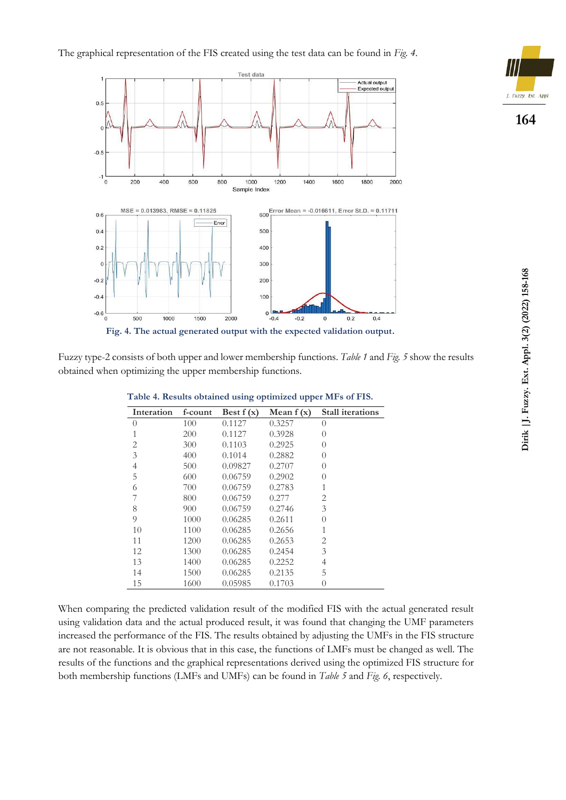



Fuzzy type-2 consists of both upper and lower membership functions. *Table 1* and *Fig. 5* show the results obtained when optimizing the upper membership functions.

| Interation     | f-count | Best $f(x)$ | Mean $f(x)$ | <b>Stall iterations</b> |
|----------------|---------|-------------|-------------|-------------------------|
| 0              | 100     | 0.1127      | 0.3257      | $\left( \right)$        |
| 1              | 200     | 0.1127      | 0.3928      | $\left( \right)$        |
| $\overline{2}$ | 300     | 0.1103      | 0.2925      | $\left( \right)$        |
| 3              | 400     | 0.1014      | 0.2882      | $\left( \right)$        |
| 4              | 500     | 0.09827     | 0.2707      | $\left( \right)$        |
| 5              | 600     | 0.06759     | 0.2902      | $\left( \right)$        |
| 6              | 700     | 0.06759     | 0.2783      |                         |
| 7              | 800     | 0.06759     | 0.277       | 2                       |
| 8              | 900     | 0.06759     | 0.2746      | 3                       |
| 9              | 1000    | 0.06285     | 0.2611      | $\left( \right)$        |
| 10             | 1100    | 0.06285     | 0.2656      | 1                       |
| 11             | 1200    | 0.06285     | 0.2653      | 2                       |
| 12             | 1300    | 0.06285     | 0.2454      | 3                       |
| 13             | 1400    | 0.06285     | 0.2252      | 4                       |
| 14             | 1500    | 0.06285     | 0.2135      | 5                       |
| 15             | 1600    | 0.05985     | 0.1703      | $\left( \right)$        |

**Table 4. Results obtained using optimized upper MFs of FIS.**

When comparing the predicted validation result of the modified FIS with the actual generated result using validation data and the actual produced result, it was found that changing the UMF parameters increased the performance of the FIS. The results obtained by adjusting the UMFs in the FIS structure are not reasonable. It is obvious that in this case, the functions of LMFs must be changed as well. The results of the functions and the graphical representations derived using the optimized FIS structure for both membership functions (LMFs and UMFs) can be found in *Table 5* and *Fig. 6*, respectively.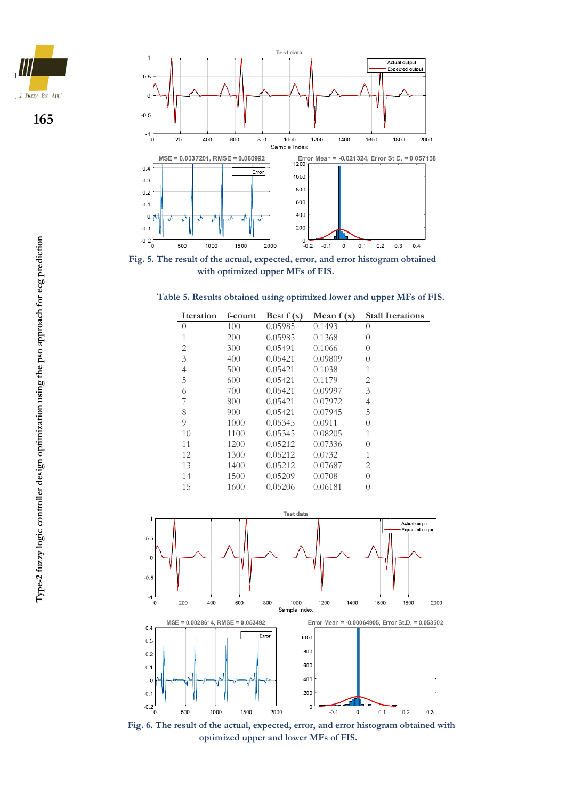





**Fig. 5. The result of the actual, expected, error, and error histogram obtained with optimized upper MFs of FIS.**

| Table 5. Results obtained using optimized lower and upper MFs of FIS. |  |
|-----------------------------------------------------------------------|--|
|-----------------------------------------------------------------------|--|

| <b>Iteration</b> | f-count | Best $f(x)$ | Mean $f(x)$ | <b>Stall Iterations</b> |
|------------------|---------|-------------|-------------|-------------------------|
| $\left( \right)$ | 100     | 0.05985     | 0.1493      | $\left( \right)$        |
| 1                | 200     | 0.05985     | 0.1368      | $\left( \right)$        |
| $\overline{2}$   | 300     | 0.05491     | 0.1066      | $\Omega$                |
| 3                | 400     | 0.05421     | 0.09809     | $\left( \right)$        |
| 4                | 500     | 0.05421     | 0.1038      | 1                       |
| 5                | 600     | 0.05421     | 0.1179      | 2                       |
| 6                | 700     | 0.05421     | 0.09997     | 3                       |
| 7                | 800     | 0.05421     | 0.07972     | 4                       |
| 8                | 900     | 0.05421     | 0.07945     | 5                       |
| 9                | 1000    | 0.05345     | 0.0911      | $\Omega$                |
| 10               | 1100    | 0.05345     | 0.08205     | 1                       |
| 11               | 1200    | 0.05212     | 0.07336     | $\left( \right)$        |
| 12               | 1300    | 0.05212     | 0.0732      | 1                       |
| 13               | 1400    | 0.05212     | 0.07687     | 2                       |
| 14               | 1500    | 0.05209     | 0.0708      | $\Omega$                |
| 15               | 1600    | 0.05206     | 0.06181     | 0                       |



**Fig. 6. The result of the actual, expected, error, and error histogram obtained with optimized upper and lower MFs of FIS.**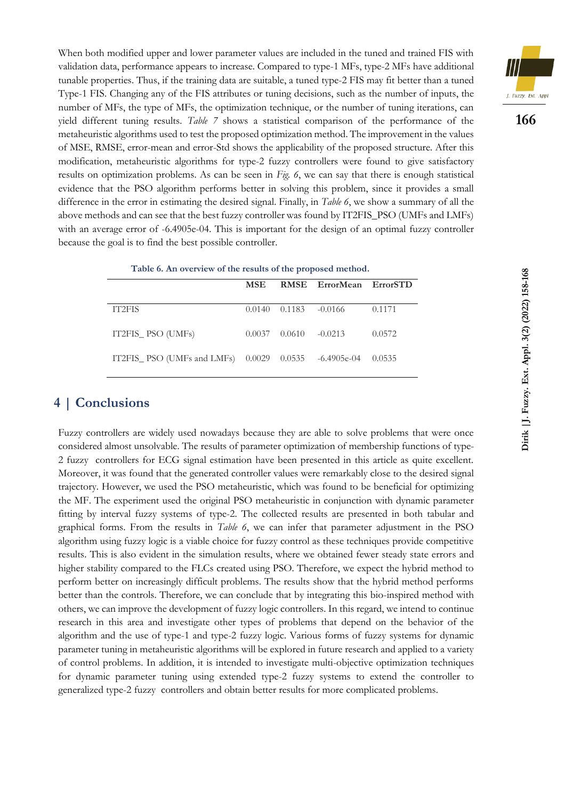When both modified upper and lower parameter values are included in the tuned and trained FIS with validation data, performance appears to increase. Compared to type-1 MFs, type-2 MFs have additional tunable properties. Thus, if the training data are suitable, a tuned type-2 FIS may fit better than a tuned Type-1 FIS. Changing any of the FIS attributes or tuning decisions, such as the number of inputs, the number of MFs, the type of MFs, the optimization technique, or the number of tuning iterations, can yield different tuning results. *Table 7* shows a statistical comparison of the performance of the metaheuristic algorithms used to test the proposed optimization method. The improvement in the values of MSE, RMSE, error-mean and error-Std shows the applicability of the proposed structure. After this modification, metaheuristic algorithms for type-2 fuzzy controllers were found to give satisfactory results on optimization problems. As can be seen in *Fig. 6*, we can say that there is enough statistical evidence that the PSO algorithm performs better in solving this problem, since it provides a small difference in the error in estimating the desired signal. Finally, in *Table 6*, we show a summary of all the above methods and can see that the best fuzzy controller was found by IT2FIS\_PSO (UMFs and LMFs) with an average error of -6.4905e-04. This is important for the design of an optimal fuzzy controller because the goal is to find the best possible controller.



| Table 6. An overview of the results of the proposed method. |  |                    |  |
|-------------------------------------------------------------|--|--------------------|--|
|                                                             |  | MSE RMSE ErrorMean |  |

|                                                      | <b>MSE</b>            |        | RMSE ErrorMean ErrorSTD |        |
|------------------------------------------------------|-----------------------|--------|-------------------------|--------|
| IT2FIS                                               | $0.0140 \quad 0.1183$ |        | $-0.0166$               | 0.1171 |
| IT2FIS_PSO (UMFs)                                    | 0.0037                | 0.0610 | $-0.0213$               | 0.0572 |
| IT2FIS_PSO (UMFs and LMFs) 0.0029 0.0535 -6.4905e-04 |                       |        |                         | 0.0535 |

## **4 | Conclusions**

Fuzzy controllers are widely used nowadays because they are able to solve problems that were once considered almost unsolvable. The results of parameter optimization of membership functions of type-2 fuzzy controllers for ECG signal estimation have been presented in this article as quite excellent. Moreover, it was found that the generated controller values were remarkably close to the desired signal trajectory. However, we used the PSO metaheuristic, which was found to be beneficial for optimizing the MF. The experiment used the original PSO metaheuristic in conjunction with dynamic parameter fitting by interval fuzzy systems of type-2. The collected results are presented in both tabular and graphical forms. From the results in *Table 6*, we can infer that parameter adjustment in the PSO algorithm using fuzzy logic is a viable choice for fuzzy control as these techniques provide competitive results. This is also evident in the simulation results, where we obtained fewer steady state errors and higher stability compared to the FLCs created using PSO. Therefore, we expect the hybrid method to perform better on increasingly difficult problems. The results show that the hybrid method performs better than the controls. Therefore, we can conclude that by integrating this bio-inspired method with others, we can improve the development of fuzzy logic controllers. In this regard, we intend to continue research in this area and investigate other types of problems that depend on the behavior of the algorithm and the use of type-1 and type-2 fuzzy logic. Various forms of fuzzy systems for dynamic parameter tuning in metaheuristic algorithms will be explored in future research and applied to a variety of control problems. In addition, it is intended to investigate multi-objective optimization techniques for dynamic parameter tuning using extended type-2 fuzzy systems to extend the controller to generalized type-2 fuzzy controllers and obtain better results for more complicated problems.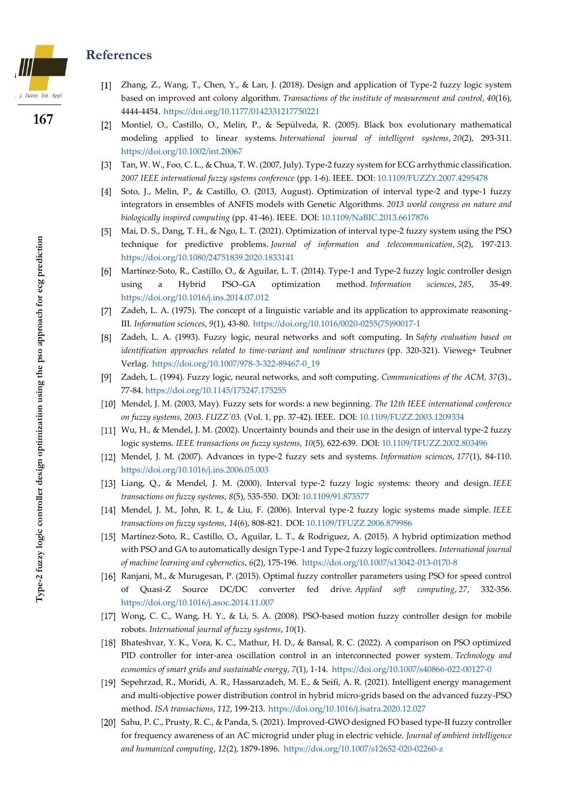#### **References**



**167**

[1] Zhang, Z., Wang, T., Chen, Y., & Lan, J. (2018). Design and application of Type-2 fuzzy logic system based on improved ant colony algorithm. *Transactions of the institute of measurement and control*, *40*(16), 4444-4454. [https://doi.org/10.1177/0142331217750221](https://doi.org/10.1177%2F0142331217750221)

- [2] Montiel, O., Castillo, O., Melin, P., & Sepúlveda, R. (2005). Black box evolutionary mathematical modeling applied to linear systems. *International journal of intelligent systems*, *20*(2), 293-311. <https://doi.org/10.1002/int.20067>
- [3] Tan, W. W., Foo, C. L., & Chua, T. W. (2007, July). Type-2 fuzzy system for ECG arrhythmic classification. *2007 IEEE international fuzzy systems conference* (pp. 1-6). IEEE. DOI: [10.1109/FUZZY.2007.4295478](https://doi.org/10.1109/FUZZY.2007.4295478)
- $[4]$ Soto, J., Melin, P., & Castillo, O. (2013, August). Optimization of interval type-2 and type-1 fuzzy integrators in ensembles of ANFIS models with Genetic Algorithms. *2013 world congress on nature and biologically inspired computing* (pp. 41-46). IEEE. DOI: [10.1109/NaBIC.2013.6617876](https://doi.org/10.1109/NaBIC.2013.6617876)
- Mai, D. S., Dang, T. H., & Ngo, L. T. (2021). Optimization of interval type-2 fuzzy system using the PSO technique for predictive problems. *Journal of information and telecommunication*, *5*(2), 197-213. <https://doi.org/10.1080/24751839.2020.1833141>
- [6] Martínez-Soto, R., Castillo, O., & Aguilar, L. T. (2014). Type-1 and Type-2 fuzzy logic controller design using a Hybrid PSO–GA optimization method. *Information sciences*, *285*, 35-49. <https://doi.org/10.1016/j.ins.2014.07.012>
- [7] Zadeh, L. A. (1975). The concept of a linguistic variable and its application to approximate reasoning-III. *Information sciences*, *9*(1), 43-80. [https://doi.org/10.1016/0020-0255\(75\)90017-1](https://doi.org/10.1016/0020-0255(75)90017-1)
- Zadeh, L. A. (1993). Fuzzy logic, neural networks and soft computing. In *Safety evaluation based on identification approaches related to time-variant and nonlinear structures* (pp. 320-321). Vieweg+ Teubner Verlag. [https://doi.org/10.1007/978-3-322-89467-0\\_19](https://doi.org/10.1007/978-3-322-89467-0_19)
- Zadeh, L. (1994). Fuzzy logic, neural networks, and soft computing. *Communications of the ACM, 37*(3)., 77-84. <https://doi.org/10.1145/175247.175255>
- Mendel, J. M. (2003, May). Fuzzy sets for words: a new beginning. *The 12th IEEE international conference on fuzzy systems, 2003. FUZZ'03.* (Vol. 1, pp. 37-42). IEEE. DOI: [10.1109/FUZZ.2003.1209334](https://doi.org/10.1109/FUZZ.2003.1209334)
- [11] Wu, H., & Mendel, J. M. (2002). Uncertainty bounds and their use in the design of interval type-2 fuzzy logic systems. *IEEE transactions on fuzzy systems*, *10*(5), 622-639. DOI: [10.1109/TFUZZ.2002.803496](https://doi.org/10.1109/TFUZZ.2002.803496)
- Mendel, J. M. (2007). Advances in type-2 fuzzy sets and systems. *Information sciences*, *177*(1), 84-110. <https://doi.org/10.1016/j.ins.2006.05.003>
- Liang, Q., & Mendel, J. M. (2000). Interval type-2 fuzzy logic systems: theory and design. *IEEE transactions on fuzzy systems*, *8*(5), 535-550. DOI: [10.1109/91.873577](https://doi.org/10.1109/91.873577)
- Mendel, J. M., John, R. I., & Liu, F. (2006). Interval type-2 fuzzy logic systems made simple. *IEEE transactions on fuzzy systems*, *14*(6), 808-821. DOI: [10.1109/TFUZZ.2006.879986](https://doi.org/10.1109/TFUZZ.2006.879986)
- [15] Martínez-Soto, R., Castillo, O., Aguilar, L. T., & Rodriguez, A. (2015). A hybrid optimization method with PSO and GA to automatically design Type-1 and Type-2 fuzzy logic controllers. *International journal of machine learning and cybernetics*, *6*(2), 175-196. <https://doi.org/10.1007/s13042-013-0170-8>
- [16] Ranjani, M., & Murugesan, P. (2015). Optimal fuzzy controller parameters using PSO for speed control of Quasi-Z Source DC/DC converter fed drive. *Applied soft computing*, *27*, 332-356. <https://doi.org/10.1016/j.asoc.2014.11.007>
- [17] Wong, C. C., Wang, H. Y., & Li, S. A. (2008). PSO-based motion fuzzy controller design for mobile robots. *International journal of fuzzy systems*, *10*(1).
- [18] Bhateshvar, Y. K., Vora, K. C., Mathur, H. D., & Bansal, R. C. (2022). A comparison on PSO optimized PID controller for inter-area oscillation control in an interconnected power system. *Technology and economics of smart grids and sustainable energy*, *7*(1), 1-14. <https://doi.org/10.1007/s40866-022-00127-0>
- [19] Sepehrzad, R., Moridi, A. R., Hassanzadeh, M. E., & Seifi, A. R. (2021). Intelligent energy management and multi-objective power distribution control in hybrid micro-grids based on the advanced fuzzy-PSO method. *ISA transactions*, *112*, 199-213. <https://doi.org/10.1016/j.isatra.2020.12.027>
- [20] Sahu, P. C., Prusty, R. C., & Panda, S. (2021). Improved-GWO designed FO based type-II fuzzy controller for frequency awareness of an AC microgrid under plug in electric vehicle. *Journal of ambient intelligence and humanized computing*, *12*(2), 1879-1896. <https://doi.org/10.1007/s12652-020-02260-z>